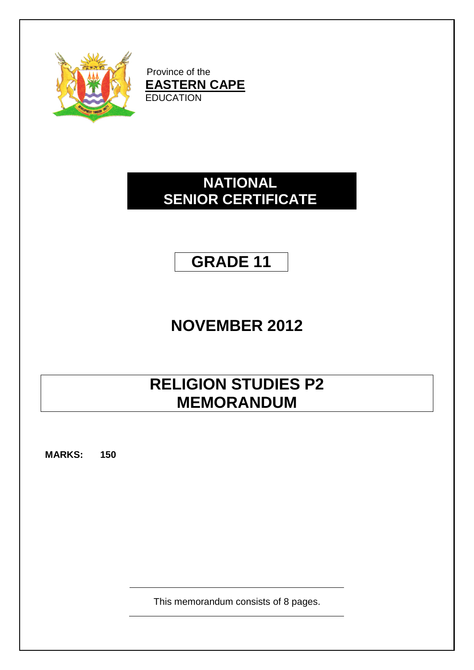

Province of the **EASTERN CAPE** EDUCATION

# **NATIONAL SENIOR CERTIFICATE**

# **GRADE 11**

# **NOVEMBER 2012**

# **RELIGION STUDIES P2 MEMORANDUM**

**MARKS: 150**

This memorandum consists of 8 pages.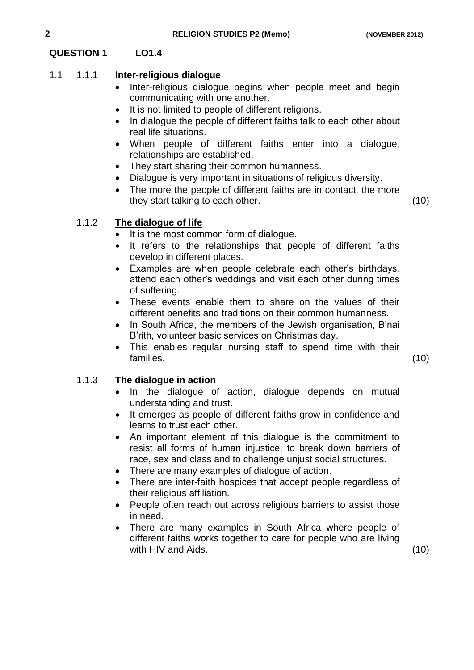# **QUESTION 1 LO1.4**

# 1.1 1.1.1 **Inter-religious dialogue**

- Inter-religious dialogue begins when people meet and begin communicating with one another.
- It is not limited to people of different religions.
- In dialogue the people of different faiths talk to each other about real life situations.
- When people of different faiths enter into a dialogue, relationships are established.
- They start sharing their common humanness.
- Dialogue is very important in situations of religious diversity.
- The more the people of different faiths are in contact, the more they start talking to each other. (10)

# 1.1.2 **The dialogue of life**

- It is the most common form of dialogue.
- It refers to the relationships that people of different faiths develop in different places.
- Examples are when people celebrate each other"s birthdays, attend each other"s weddings and visit each other during times of suffering.
- These events enable them to share on the values of their different benefits and traditions on their common humanness.
- In South Africa, the members of the Jewish organisation, B'nai B"rith, volunteer basic services on Christmas day.
- This enables regular nursing staff to spend time with their families. (10)

# 1.1.3 **The dialogue in action**

- In the dialogue of action, dialogue depends on mutual understanding and trust.
- It emerges as people of different faiths grow in confidence and learns to trust each other.
- An important element of this dialogue is the commitment to resist all forms of human injustice, to break down barriers of race, sex and class and to challenge unjust social structures.
- There are many examples of dialogue of action.
- There are inter-faith hospices that accept people regardless of their religious affiliation.
- People often reach out across religious barriers to assist those in need.
- There are many examples in South Africa where people of different faiths works together to care for people who are living with HIV and Aids. (10)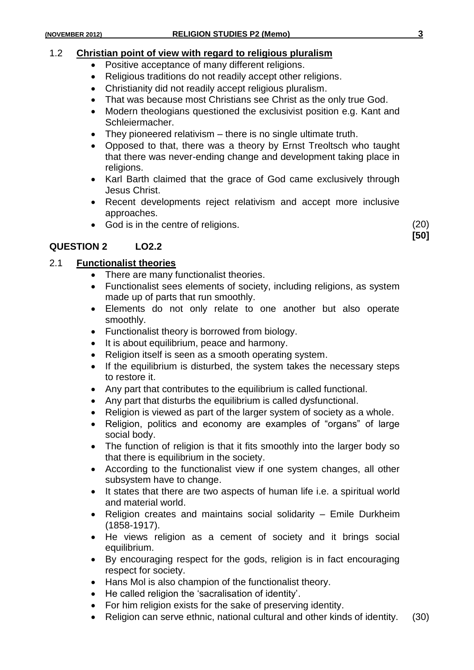# 1.2 **Christian point of view with regard to religious pluralism**

- Positive acceptance of many different religions.
- Religious traditions do not readily accept other religions.
- Christianity did not readily accept religious pluralism.
- That was because most Christians see Christ as the only true God.
- Modern theologians questioned the exclusivist position e.g. Kant and Schleiermacher.
- They pioneered relativism there is no single ultimate truth.
- Opposed to that, there was a theory by Ernst Treoltsch who taught that there was never-ending change and development taking place in religions.
- Karl Barth claimed that the grace of God came exclusively through Jesus Christ.
- Recent developments reject relativism and accept more inclusive approaches.
- God is in the centre of religions. (20)

# **QUESTION 2 LO2.2**

# 2.1 **Functionalist theories**

- There are many functionalist theories.
- Functionalist sees elements of society, including religions, as system made up of parts that run smoothly.
- Elements do not only relate to one another but also operate smoothly.
- Functionalist theory is borrowed from biology.
- It is about equilibrium, peace and harmony.
- Religion itself is seen as a smooth operating system.
- If the equilibrium is disturbed, the system takes the necessary steps to restore it.
- Any part that contributes to the equilibrium is called functional.
- Any part that disturbs the equilibrium is called dysfunctional.
- Religion is viewed as part of the larger system of society as a whole.
- Religion, politics and economy are examples of "organs" of large social body.
- The function of religion is that it fits smoothly into the larger body so that there is equilibrium in the society.
- According to the functionalist view if one system changes, all other subsystem have to change.
- It states that there are two aspects of human life i.e. a spiritual world and material world.
- Religion creates and maintains social solidarity Emile Durkheim (1858-1917).
- He views religion as a cement of society and it brings social equilibrium.
- By encouraging respect for the gods, religion is in fact encouraging respect for society.
- Hans Mol is also champion of the functionalist theory.
- He called religion the 'sacralisation of identity'.
- For him religion exists for the sake of preserving identity.
- Religion can serve ethnic, national cultural and other kinds of identity. (30)

**[50]**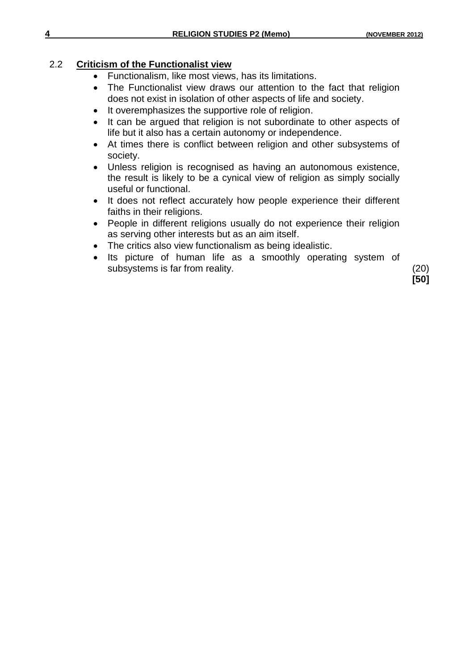# 2.2 **Criticism of the Functionalist view**

- Functionalism, like most views, has its limitations.
- The Functionalist view draws our attention to the fact that religion does not exist in isolation of other aspects of life and society.
- It overemphasizes the supportive role of religion.
- It can be argued that religion is not subordinate to other aspects of life but it also has a certain autonomy or independence.
- At times there is conflict between religion and other subsystems of society.
- Unless religion is recognised as having an autonomous existence, the result is likely to be a cynical view of religion as simply socially useful or functional.
- It does not reflect accurately how people experience their different faiths in their religions.
- People in different religions usually do not experience their religion as serving other interests but as an aim itself.
- The critics also view functionalism as being idealistic.
- Its picture of human life as a smoothly operating system of subsystems is far from reality. (20)

**[50]**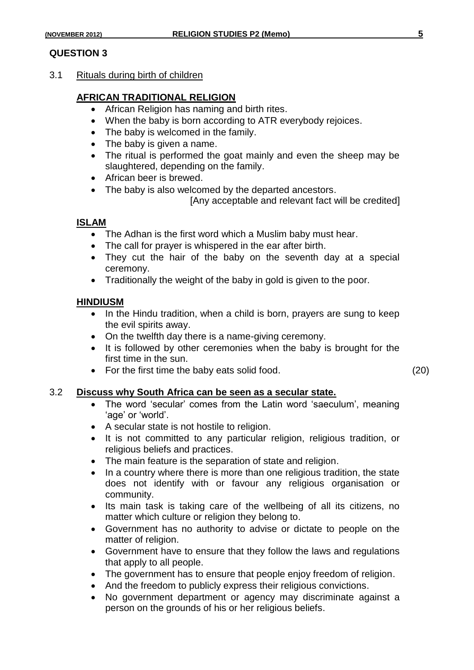### **QUESTION 3**

3.1 Rituals during birth of children

### **AFRICAN TRADITIONAL RELIGION**

- African Religion has naming and birth rites.
- When the baby is born according to ATR everybody rejoices.
- The baby is welcomed in the family.
- The baby is given a name.
- The ritual is performed the goat mainly and even the sheep may be slaughtered, depending on the family.
- African beer is brewed.
- The baby is also welcomed by the departed ancestors.

[Any acceptable and relevant fact will be credited]

#### **ISLAM**

- The Adhan is the first word which a Muslim baby must hear.
- The call for prayer is whispered in the ear after birth.
- They cut the hair of the baby on the seventh day at a special ceremony.
- Traditionally the weight of the baby in gold is given to the poor.

#### **HINDIUSM**

- In the Hindu tradition, when a child is born, prayers are sung to keep the evil spirits away.
- On the twelfth day there is a name-giving ceremony.
- It is followed by other ceremonies when the baby is brought for the first time in the sun.
- For the first time the baby eats solid food. (20)

### 3.2 **Discuss why South Africa can be seen as a secular state.**

- The word 'secular' comes from the Latin word 'saeculum', meaning 'age' or 'world'.
- A secular state is not hostile to religion.
- It is not committed to any particular religion, religious tradition, or religious beliefs and practices.
- The main feature is the separation of state and religion.
- In a country where there is more than one religious tradition, the state does not identify with or favour any religious organisation or community.
- Its main task is taking care of the wellbeing of all its citizens, no matter which culture or religion they belong to.
- Government has no authority to advise or dictate to people on the matter of religion.
- Government have to ensure that they follow the laws and regulations that apply to all people.
- The government has to ensure that people enjoy freedom of religion.
- And the freedom to publicly express their religious convictions.
- No government department or agency may discriminate against a person on the grounds of his or her religious beliefs.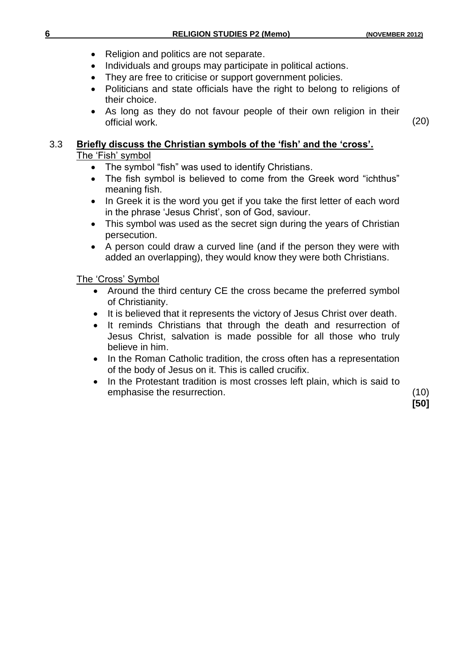- Religion and politics are not separate.
- Individuals and groups may participate in political actions.
- They are free to criticise or support government policies.
- Politicians and state officials have the right to belong to religions of their choice.
- As long as they do not favour people of their own religion in their official work. (20)

# 3.3 **Briefly discuss the Christian symbols of the 'fish' and the 'cross'.** The 'Fish' symbol

- 
- The symbol "fish" was used to identify Christians.<br>• The fish symbol is believed to come from the G The fish symbol is believed to come from the Greek word "ichthus" meaning fish.
- In Greek it is the word you get if you take the first letter of each word in the phrase "Jesus Christ", son of God, saviour.
- This symbol was used as the secret sign during the years of Christian persecution.
- A person could draw a curved line (and if the person they were with added an overlapping), they would know they were both Christians.

The "Cross" Symbol

- Around the third century CE the cross became the preferred symbol of Christianity.
- It is believed that it represents the victory of Jesus Christ over death.
- It reminds Christians that through the death and resurrection of Jesus Christ, salvation is made possible for all those who truly believe in him.
- In the Roman Catholic tradition, the cross often has a representation of the body of Jesus on it. This is called crucifix.
- In the Protestant tradition is most crosses left plain, which is said to emphasise the resurrection. (10)

**[50]**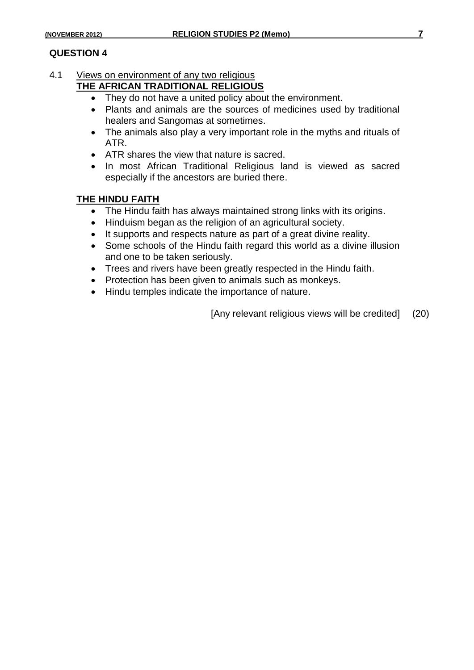# 4.1 Views on environment of any two religious

# **THE AFRICAN TRADITIONAL RELIGIOUS**

- They do not have a united policy about the environment.
- Plants and animals are the sources of medicines used by traditional healers and Sangomas at sometimes.
- The animals also play a very important role in the myths and rituals of ATR.
- ATR shares the view that nature is sacred.
- In most African Traditional Religious land is viewed as sacred especially if the ancestors are buried there.

# **THE HINDU FAITH**

- The Hindu faith has always maintained strong links with its origins.
- Hinduism began as the religion of an agricultural society.
- It supports and respects nature as part of a great divine reality.
- Some schools of the Hindu faith regard this world as a divine illusion and one to be taken seriously.
- Trees and rivers have been greatly respected in the Hindu faith.
- Protection has been given to animals such as monkeys.
- Hindu temples indicate the importance of nature.

[Any relevant religious views will be credited] (20)